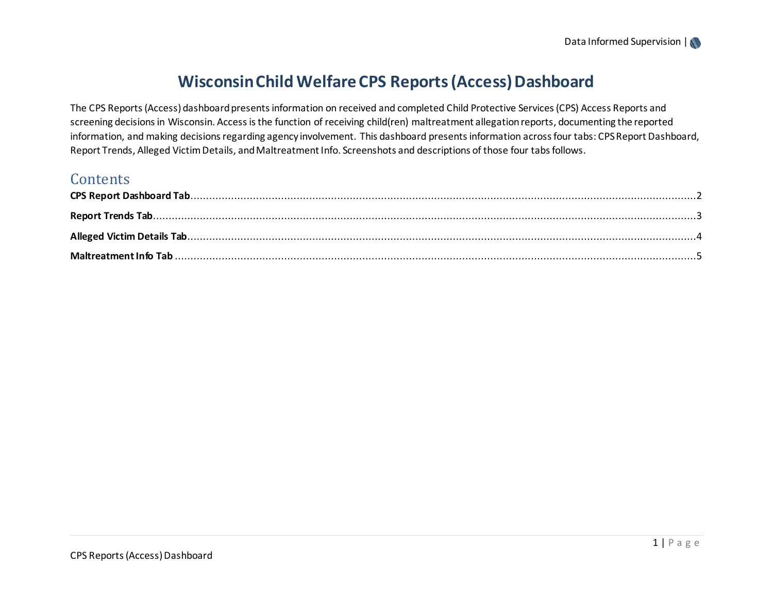# **Wisconsin Child Welfare CPS Reports (Access) Dashboard**

The CPS Reports (Access)dashboard presents information on received and completed Child Protective Services (CPS) Access Reports and screening decisions in Wisconsin. Access is the function of receiving child(ren) maltreatment allegation reports, documenting the reported information, and making decisions regarding agency involvement. This dashboard presents information across four tabs: CPS Report Dashboard, Report Trends, Alleged Victim Details, and Maltreatment Info. Screenshots and descriptions of those four tabs follows.

### **Contents**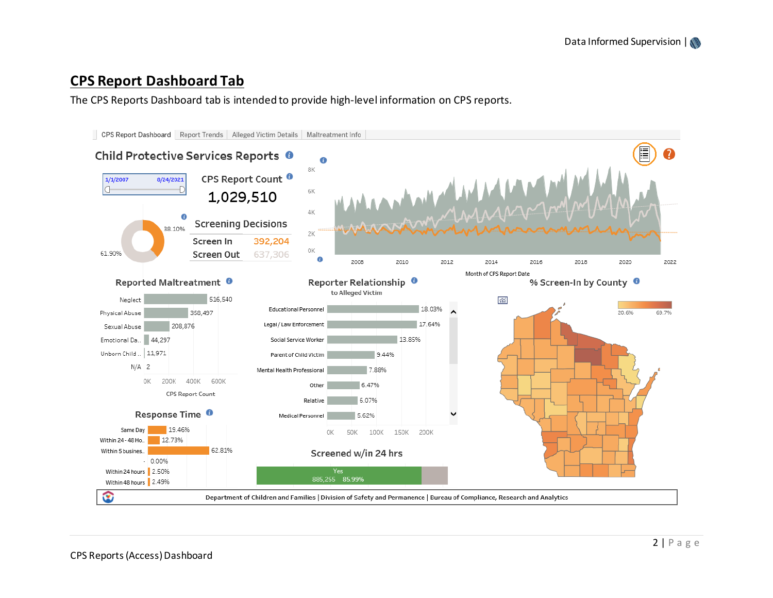## <span id="page-1-0"></span>**CPS Report Dashboard Tab**

The CPS Reports Dashboard tab is intended to provide high-level information on CPS reports.

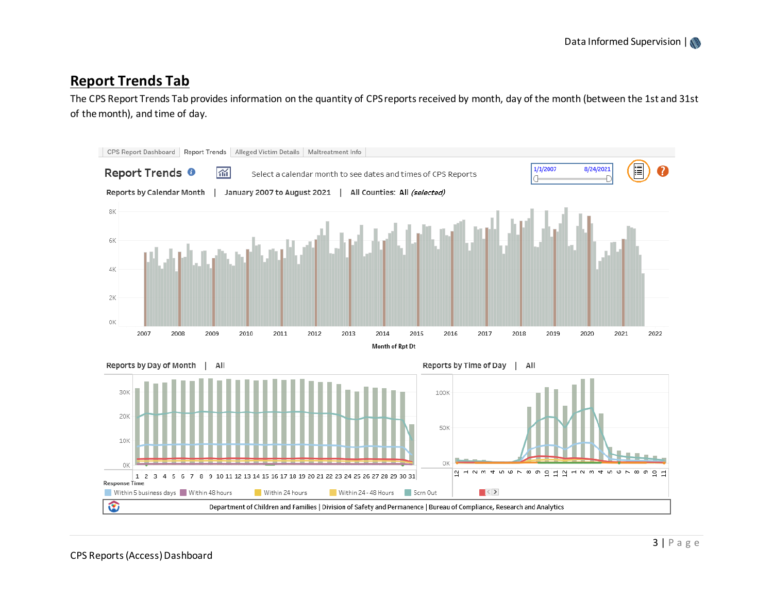### <span id="page-2-0"></span>**Report Trends Tab**

The CPS Report Trends Tab provides information on the quantity of CPS reports received by month, day of the month (between the 1st and 31st of the month), and time of day.

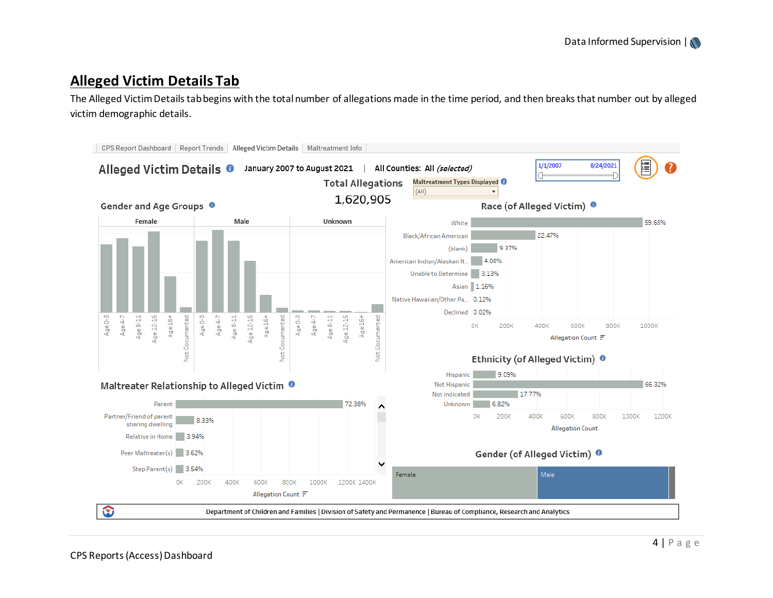## <span id="page-3-0"></span>**Alleged Victim Details Tab**

The Alleged Victim Details tab begins with the total number of allegations made in the time period, and then breaks that number out by alleged victim demographic details.